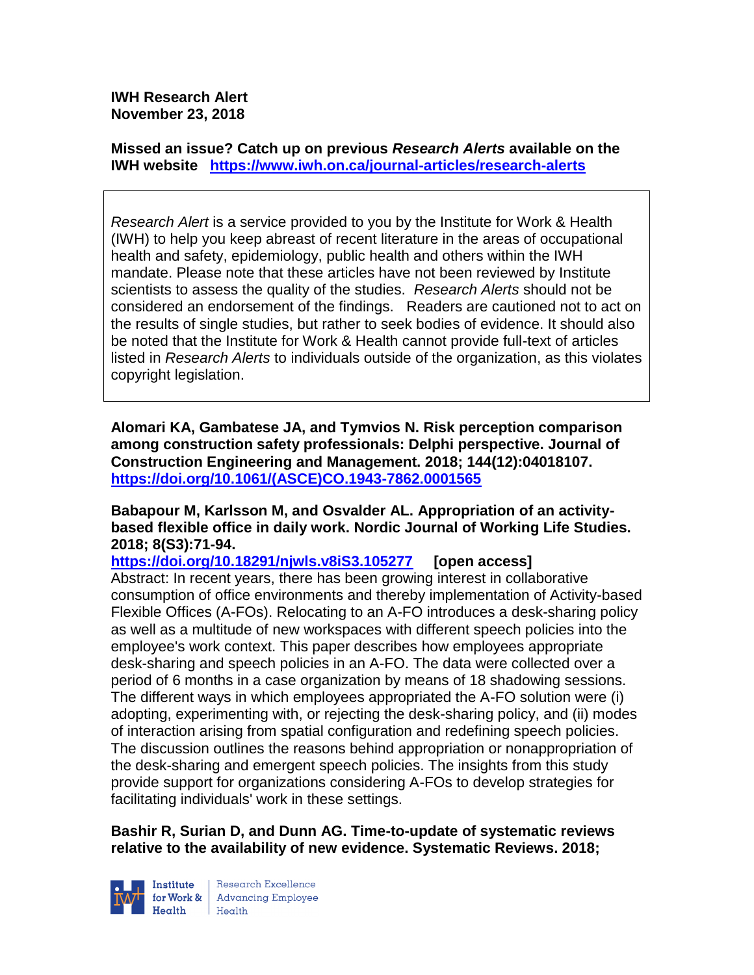**IWH Research Alert November 23, 2018**

**Missed an issue? Catch up on previous** *Research Alerts* **available on the [IWH website](http://www.iwh.on.ca/research-alerts) <https://www.iwh.on.ca/journal-articles/research-alerts>**

*Research Alert* is a service provided to you by the Institute for Work & Health (IWH) to help you keep abreast of recent literature in the areas of occupational health and safety, epidemiology, public health and others within the IWH mandate. Please note that these articles have not been reviewed by Institute scientists to assess the quality of the studies. *Research Alerts* should not be considered an endorsement of the findings. Readers are cautioned not to act on the results of single studies, but rather to seek bodies of evidence. It should also be noted that the Institute for Work & Health cannot provide full-text of articles listed in *Research Alerts* to individuals outside of the organization, as this violates copyright legislation.

**Alomari KA, Gambatese JA, and Tymvios N. Risk perception comparison among construction safety professionals: Delphi perspective. Journal of Construction Engineering and Management. 2018; 144(12):04018107. [https://doi.org/10.1061/\(ASCE\)CO.1943-7862.0001565](https://doi.org/10.1061/(ASCE)CO.1943-7862.0001565)** 

**Babapour M, Karlsson M, and Osvalder AL. Appropriation of an activitybased flexible office in daily work. Nordic Journal of Working Life Studies. 2018; 8(S3):71-94.** 

**<https://doi.org/10.18291/njwls.v8iS3.105277> [open access]** Abstract: In recent years, there has been growing interest in collaborative consumption of office environments and thereby implementation of Activity-based Flexible Offices (A-FOs). Relocating to an A-FO introduces a desk-sharing policy as well as a multitude of new workspaces with different speech policies into the employee's work context. This paper describes how employees appropriate desk-sharing and speech policies in an A-FO. The data were collected over a period of 6 months in a case organization by means of 18 shadowing sessions. The different ways in which employees appropriated the A-FO solution were (i) adopting, experimenting with, or rejecting the desk-sharing policy, and (ii) modes of interaction arising from spatial configuration and redefining speech policies. The discussion outlines the reasons behind appropriation or nonappropriation of the desk-sharing and emergent speech policies. The insights from this study provide support for organizations considering A-FOs to develop strategies for facilitating individuals' work in these settings.

**Bashir R, Surian D, and Dunn AG. Time-to-update of systematic reviews relative to the availability of new evidence. Systematic Reviews. 2018;** 



Research Excellence for Work & Advancing Employee  $H_{\text{eath}}$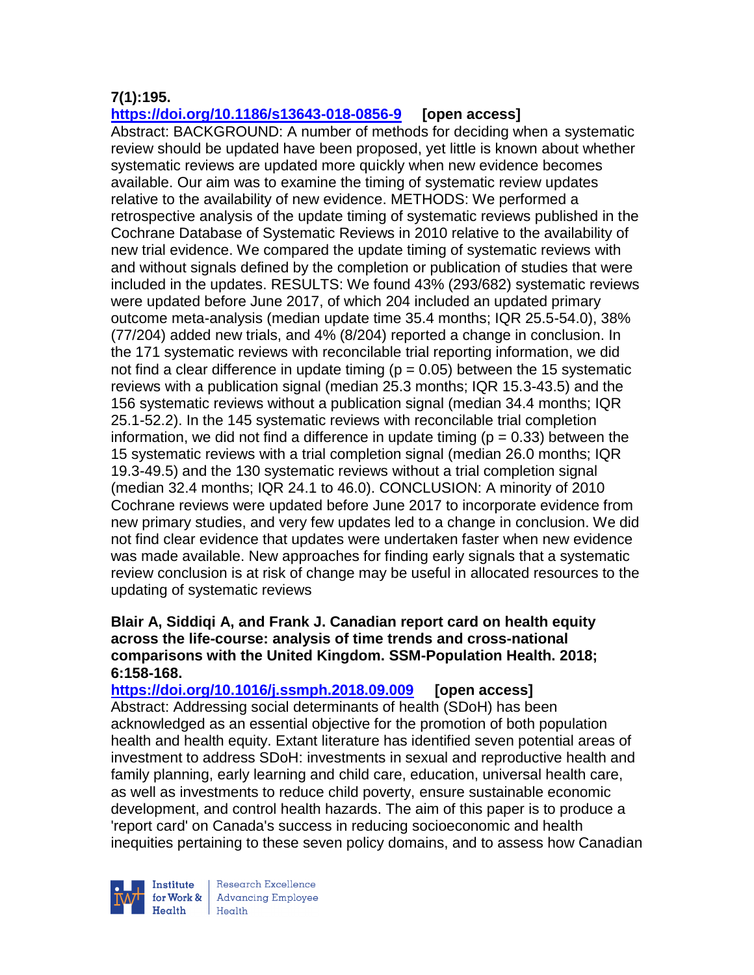# **7(1):195.**

**<https://doi.org/10.1186/s13643-018-0856-9> [open access]**

Abstract: BACKGROUND: A number of methods for deciding when a systematic review should be updated have been proposed, yet little is known about whether systematic reviews are updated more quickly when new evidence becomes available. Our aim was to examine the timing of systematic review updates relative to the availability of new evidence. METHODS: We performed a retrospective analysis of the update timing of systematic reviews published in the Cochrane Database of Systematic Reviews in 2010 relative to the availability of new trial evidence. We compared the update timing of systematic reviews with and without signals defined by the completion or publication of studies that were included in the updates. RESULTS: We found 43% (293/682) systematic reviews were updated before June 2017, of which 204 included an updated primary outcome meta-analysis (median update time 35.4 months; IQR 25.5-54.0), 38% (77/204) added new trials, and 4% (8/204) reported a change in conclusion. In the 171 systematic reviews with reconcilable trial reporting information, we did not find a clear difference in update timing ( $p = 0.05$ ) between the 15 systematic reviews with a publication signal (median 25.3 months; IQR 15.3-43.5) and the 156 systematic reviews without a publication signal (median 34.4 months; IQR 25.1-52.2). In the 145 systematic reviews with reconcilable trial completion information, we did not find a difference in update timing ( $p = 0.33$ ) between the 15 systematic reviews with a trial completion signal (median 26.0 months; IQR 19.3-49.5) and the 130 systematic reviews without a trial completion signal (median 32.4 months; IQR 24.1 to 46.0). CONCLUSION: A minority of 2010 Cochrane reviews were updated before June 2017 to incorporate evidence from new primary studies, and very few updates led to a change in conclusion. We did not find clear evidence that updates were undertaken faster when new evidence was made available. New approaches for finding early signals that a systematic review conclusion is at risk of change may be useful in allocated resources to the updating of systematic reviews

### **Blair A, Siddiqi A, and Frank J. Canadian report card on health equity across the life-course: analysis of time trends and cross-national comparisons with the United Kingdom. SSM-Population Health. 2018; 6:158-168.**

**<https://doi.org/10.1016/j.ssmph.2018.09.009> [open access]** Abstract: Addressing social determinants of health (SDoH) has been acknowledged as an essential objective for the promotion of both population health and health equity. Extant literature has identified seven potential areas of investment to address SDoH: investments in sexual and reproductive health and family planning, early learning and child care, education, universal health care, as well as investments to reduce child poverty, ensure sustainable economic development, and control health hazards. The aim of this paper is to produce a 'report card' on Canada's success in reducing socioeconomic and health inequities pertaining to these seven policy domains, and to assess how Canadian



Research Excellence for Work & | Advancing Employee Health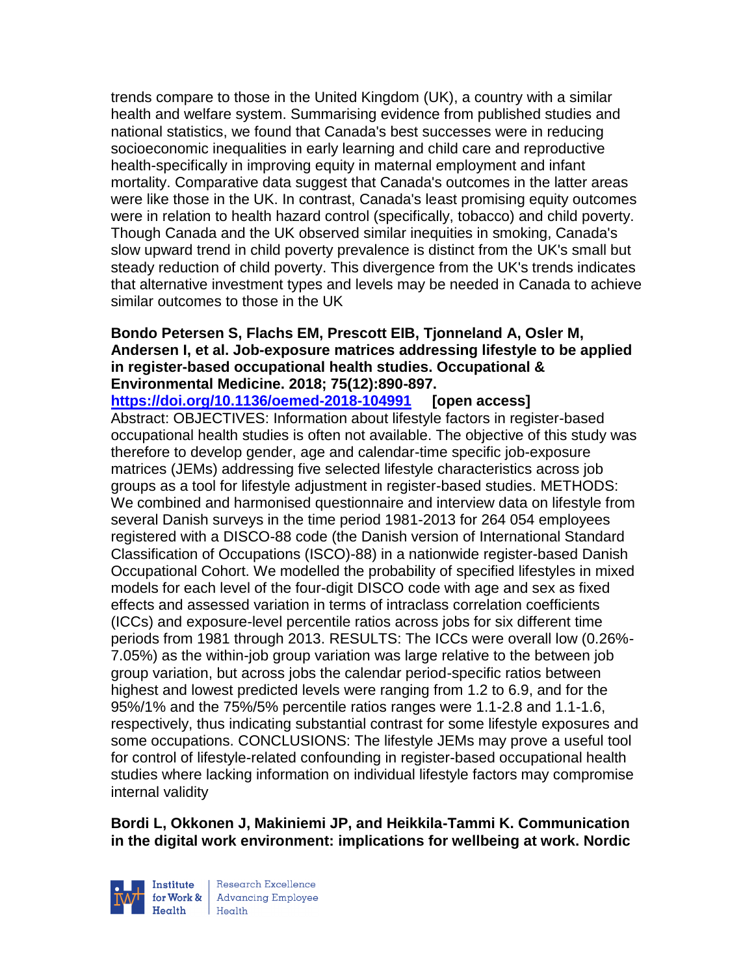trends compare to those in the United Kingdom (UK), a country with a similar health and welfare system. Summarising evidence from published studies and national statistics, we found that Canada's best successes were in reducing socioeconomic inequalities in early learning and child care and reproductive health-specifically in improving equity in maternal employment and infant mortality. Comparative data suggest that Canada's outcomes in the latter areas were like those in the UK. In contrast, Canada's least promising equity outcomes were in relation to health hazard control (specifically, tobacco) and child poverty. Though Canada and the UK observed similar inequities in smoking, Canada's slow upward trend in child poverty prevalence is distinct from the UK's small but steady reduction of child poverty. This divergence from the UK's trends indicates that alternative investment types and levels may be needed in Canada to achieve similar outcomes to those in the UK

## **Bondo Petersen S, Flachs EM, Prescott EIB, Tjonneland A, Osler M, Andersen I, et al. Job-exposure matrices addressing lifestyle to be applied in register-based occupational health studies. Occupational & Environmental Medicine. 2018; 75(12):890-897.**

**<https://doi.org/10.1136/oemed-2018-104991> [open access]** Abstract: OBJECTIVES: Information about lifestyle factors in register-based occupational health studies is often not available. The objective of this study was therefore to develop gender, age and calendar-time specific job-exposure matrices (JEMs) addressing five selected lifestyle characteristics across job groups as a tool for lifestyle adjustment in register-based studies. METHODS: We combined and harmonised questionnaire and interview data on lifestyle from several Danish surveys in the time period 1981-2013 for 264 054 employees registered with a DISCO-88 code (the Danish version of International Standard Classification of Occupations (ISCO)-88) in a nationwide register-based Danish Occupational Cohort. We modelled the probability of specified lifestyles in mixed models for each level of the four-digit DISCO code with age and sex as fixed effects and assessed variation in terms of intraclass correlation coefficients (ICCs) and exposure-level percentile ratios across jobs for six different time periods from 1981 through 2013. RESULTS: The ICCs were overall low (0.26%- 7.05%) as the within-job group variation was large relative to the between job group variation, but across jobs the calendar period-specific ratios between highest and lowest predicted levels were ranging from 1.2 to 6.9, and for the 95%/1% and the 75%/5% percentile ratios ranges were 1.1-2.8 and 1.1-1.6, respectively, thus indicating substantial contrast for some lifestyle exposures and some occupations. CONCLUSIONS: The lifestyle JEMs may prove a useful tool for control of lifestyle-related confounding in register-based occupational health studies where lacking information on individual lifestyle factors may compromise internal validity

**Bordi L, Okkonen J, Makiniemi JP, and Heikkila-Tammi K. Communication in the digital work environment: implications for wellbeing at work. Nordic** 



Research Excellence for Work & | Advancing Employee  $H_{\text{eath}}$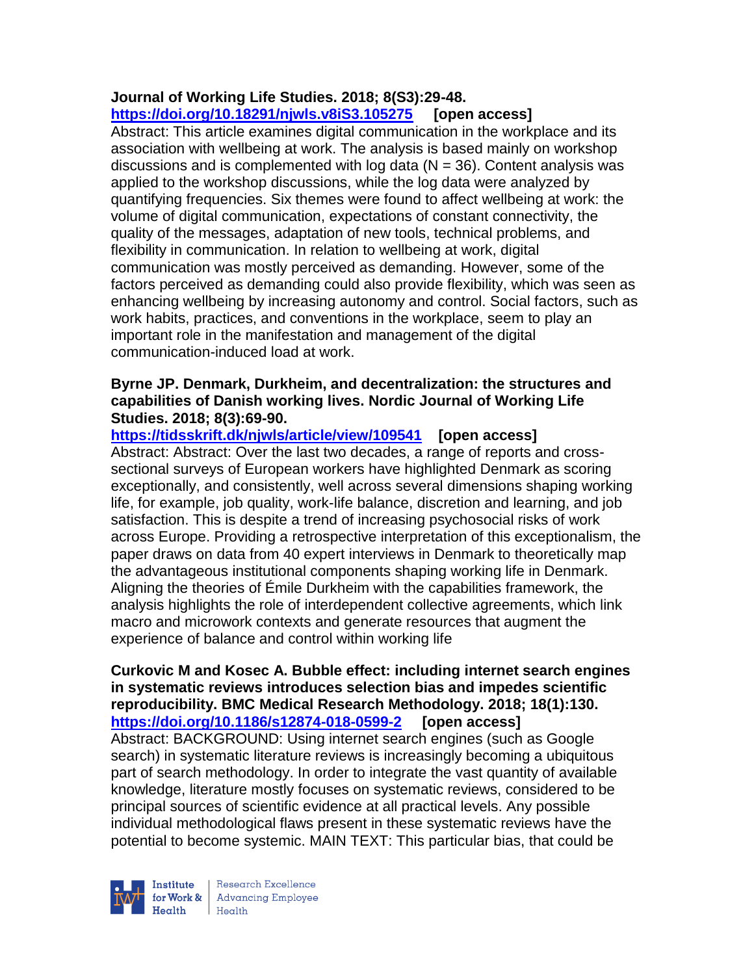## **Journal of Working Life Studies. 2018; 8(S3):29-48. <https://doi.org/10.18291/njwls.v8iS3.105275> [open access]**

Abstract: This article examines digital communication in the workplace and its association with wellbeing at work. The analysis is based mainly on workshop discussions and is complemented with log data  $(N = 36)$ . Content analysis was applied to the workshop discussions, while the log data were analyzed by quantifying frequencies. Six themes were found to affect wellbeing at work: the volume of digital communication, expectations of constant connectivity, the quality of the messages, adaptation of new tools, technical problems, and flexibility in communication. In relation to wellbeing at work, digital communication was mostly perceived as demanding. However, some of the factors perceived as demanding could also provide flexibility, which was seen as enhancing wellbeing by increasing autonomy and control. Social factors, such as work habits, practices, and conventions in the workplace, seem to play an important role in the manifestation and management of the digital communication-induced load at work.

### **Byrne JP. Denmark, Durkheim, and decentralization: the structures and capabilities of Danish working lives. Nordic Journal of Working Life Studies. 2018; 8(3):69-90.**

**<https://tidsskrift.dk/njwls/article/view/109541>[open access]** Abstract: Abstract: Over the last two decades, a range of reports and crosssectional surveys of European workers have highlighted Denmark as scoring exceptionally, and consistently, well across several dimensions shaping working life, for example, job quality, work-life balance, discretion and learning, and job satisfaction. This is despite a trend of increasing psychosocial risks of work across Europe. Providing a retrospective interpretation of this exceptionalism, the paper draws on data from 40 expert interviews in Denmark to theoretically map the advantageous institutional components shaping working life in Denmark. Aligning the theories of Émile Durkheim with the capabilities framework, the analysis highlights the role of interdependent collective agreements, which link macro and microwork contexts and generate resources that augment the experience of balance and control within working life

### **Curkovic M and Kosec A. Bubble effect: including internet search engines in systematic reviews introduces selection bias and impedes scientific reproducibility. BMC Medical Research Methodology. 2018; 18(1):130. <https://doi.org/10.1186/s12874-018-0599-2> [open access]**

Abstract: BACKGROUND: Using internet search engines (such as Google search) in systematic literature reviews is increasingly becoming a ubiquitous part of search methodology. In order to integrate the vast quantity of available knowledge, literature mostly focuses on systematic reviews, considered to be principal sources of scientific evidence at all practical levels. Any possible individual methodological flaws present in these systematic reviews have the potential to become systemic. MAIN TEXT: This particular bias, that could be



Research Excellence Finantium<br>
for Work & Advancing Employee<br>
Health Health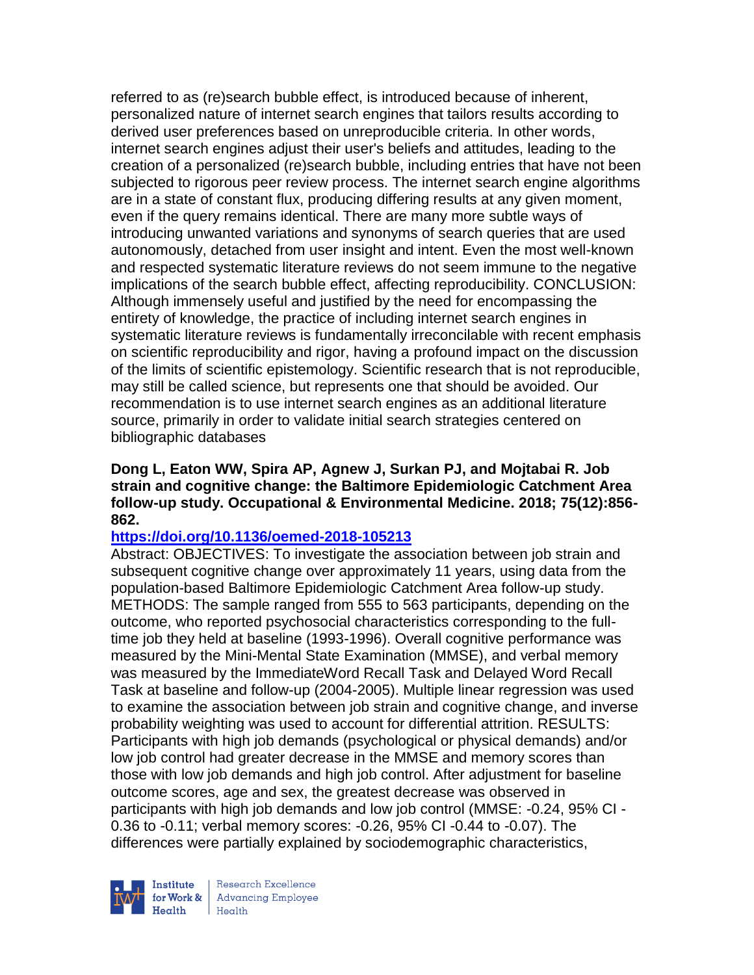referred to as (re)search bubble effect, is introduced because of inherent, personalized nature of internet search engines that tailors results according to derived user preferences based on unreproducible criteria. In other words, internet search engines adjust their user's beliefs and attitudes, leading to the creation of a personalized (re)search bubble, including entries that have not been subjected to rigorous peer review process. The internet search engine algorithms are in a state of constant flux, producing differing results at any given moment, even if the query remains identical. There are many more subtle ways of introducing unwanted variations and synonyms of search queries that are used autonomously, detached from user insight and intent. Even the most well-known and respected systematic literature reviews do not seem immune to the negative implications of the search bubble effect, affecting reproducibility. CONCLUSION: Although immensely useful and justified by the need for encompassing the entirety of knowledge, the practice of including internet search engines in systematic literature reviews is fundamentally irreconcilable with recent emphasis on scientific reproducibility and rigor, having a profound impact on the discussion of the limits of scientific epistemology. Scientific research that is not reproducible, may still be called science, but represents one that should be avoided. Our recommendation is to use internet search engines as an additional literature source, primarily in order to validate initial search strategies centered on bibliographic databases

**Dong L, Eaton WW, Spira AP, Agnew J, Surkan PJ, and Mojtabai R. Job strain and cognitive change: the Baltimore Epidemiologic Catchment Area follow-up study. Occupational & Environmental Medicine. 2018; 75(12):856- 862.** 

## **<https://doi.org/10.1136/oemed-2018-105213>**

Abstract: OBJECTIVES: To investigate the association between job strain and subsequent cognitive change over approximately 11 years, using data from the population-based Baltimore Epidemiologic Catchment Area follow-up study. METHODS: The sample ranged from 555 to 563 participants, depending on the outcome, who reported psychosocial characteristics corresponding to the fulltime job they held at baseline (1993-1996). Overall cognitive performance was measured by the Mini-Mental State Examination (MMSE), and verbal memory was measured by the ImmediateWord Recall Task and Delayed Word Recall Task at baseline and follow-up (2004-2005). Multiple linear regression was used to examine the association between job strain and cognitive change, and inverse probability weighting was used to account for differential attrition. RESULTS: Participants with high job demands (psychological or physical demands) and/or low job control had greater decrease in the MMSE and memory scores than those with low job demands and high job control. After adjustment for baseline outcome scores, age and sex, the greatest decrease was observed in participants with high job demands and low job control (MMSE: -0.24, 95% CI - 0.36 to -0.11; verbal memory scores: -0.26, 95% CI -0.44 to -0.07). The differences were partially explained by sociodemographic characteristics,



Research Excellence for Work & | Advancing Employee Health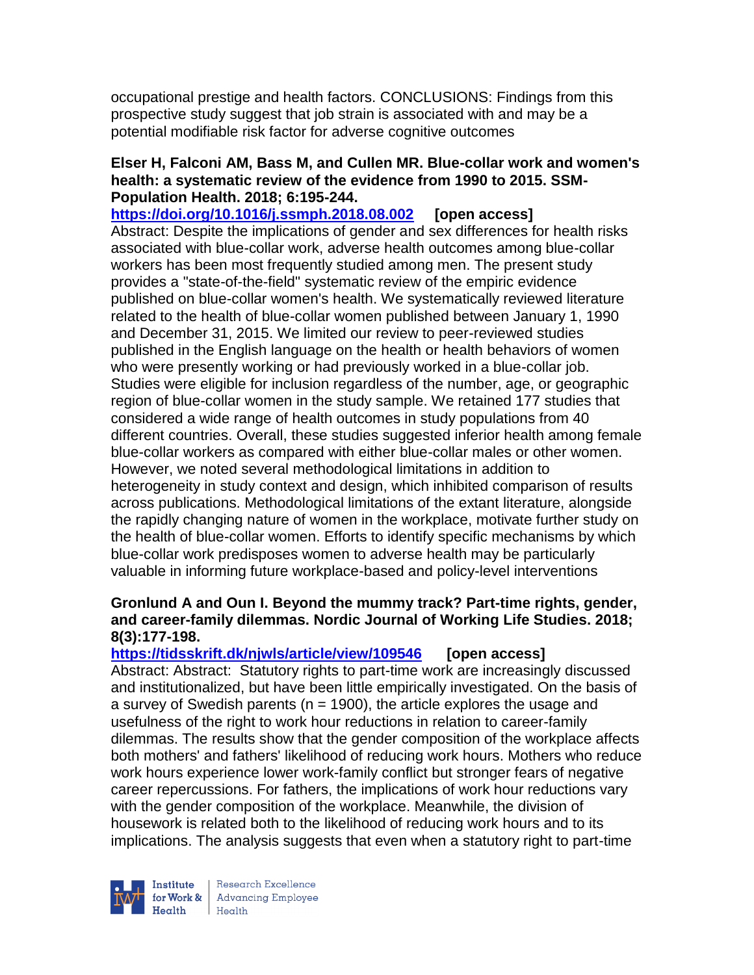occupational prestige and health factors. CONCLUSIONS: Findings from this prospective study suggest that job strain is associated with and may be a potential modifiable risk factor for adverse cognitive outcomes

## **Elser H, Falconi AM, Bass M, and Cullen MR. Blue-collar work and women's health: a systematic review of the evidence from 1990 to 2015. SSM-Population Health. 2018; 6:195-244.**

**<https://doi.org/10.1016/j.ssmph.2018.08.002> [open access]** Abstract: Despite the implications of gender and sex differences for health risks associated with blue-collar work, adverse health outcomes among blue-collar workers has been most frequently studied among men. The present study provides a "state-of-the-field" systematic review of the empiric evidence published on blue-collar women's health. We systematically reviewed literature related to the health of blue-collar women published between January 1, 1990 and December 31, 2015. We limited our review to peer-reviewed studies published in the English language on the health or health behaviors of women who were presently working or had previously worked in a blue-collar job. Studies were eligible for inclusion regardless of the number, age, or geographic region of blue-collar women in the study sample. We retained 177 studies that considered a wide range of health outcomes in study populations from 40 different countries. Overall, these studies suggested inferior health among female blue-collar workers as compared with either blue-collar males or other women. However, we noted several methodological limitations in addition to heterogeneity in study context and design, which inhibited comparison of results across publications. Methodological limitations of the extant literature, alongside the rapidly changing nature of women in the workplace, motivate further study on the health of blue-collar women. Efforts to identify specific mechanisms by which blue-collar work predisposes women to adverse health may be particularly valuable in informing future workplace-based and policy-level interventions

## **Gronlund A and Oun I. Beyond the mummy track? Part-time rights, gender, and career-family dilemmas. Nordic Journal of Working Life Studies. 2018; 8(3):177-198.**

# **<https://tidsskrift.dk/njwls/article/view/109546> [open access]**

Abstract: Abstract: Statutory rights to part-time work are increasingly discussed and institutionalized, but have been little empirically investigated. On the basis of a survey of Swedish parents ( $n = 1900$ ), the article explores the usage and usefulness of the right to work hour reductions in relation to career-family dilemmas. The results show that the gender composition of the workplace affects both mothers' and fathers' likelihood of reducing work hours. Mothers who reduce work hours experience lower work-family conflict but stronger fears of negative career repercussions. For fathers, the implications of work hour reductions vary with the gender composition of the workplace. Meanwhile, the division of housework is related both to the likelihood of reducing work hours and to its implications. The analysis suggests that even when a statutory right to part-time



Research Excellence for Work & | Advancing Employee  $H_{\text{eath}}$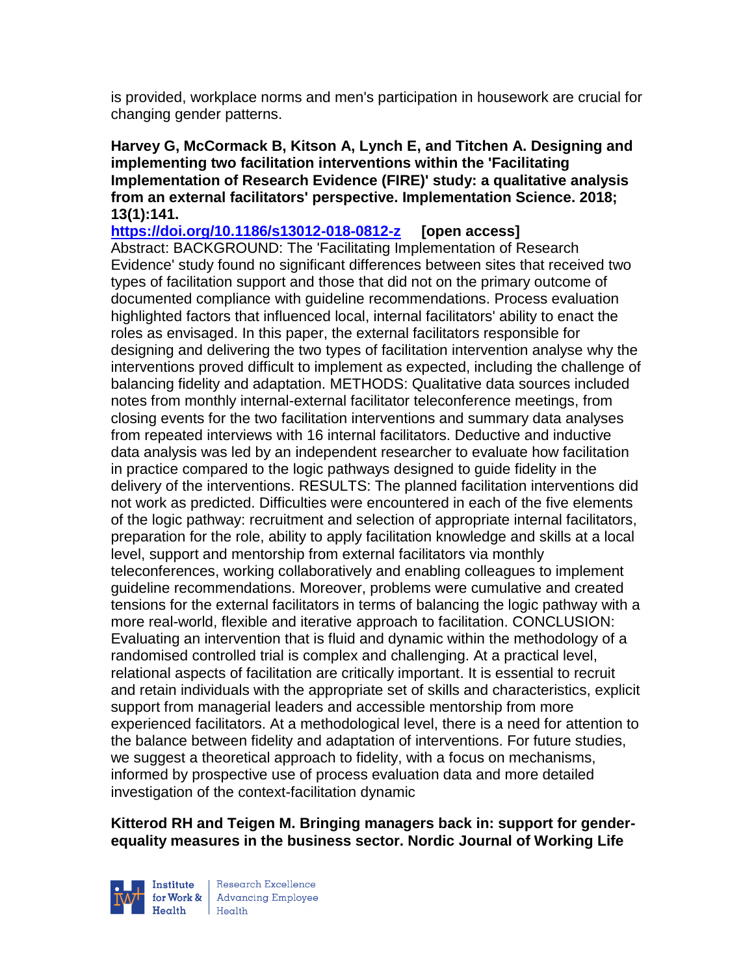is provided, workplace norms and men's participation in housework are crucial for changing gender patterns.

**Harvey G, McCormack B, Kitson A, Lynch E, and Titchen A. Designing and implementing two facilitation interventions within the 'Facilitating Implementation of Research Evidence (FIRE)' study: a qualitative analysis from an external facilitators' perspective. Implementation Science. 2018; 13(1):141.**

**<https://doi.org/10.1186/s13012-018-0812-z> [open access]** Abstract: BACKGROUND: The 'Facilitating Implementation of Research Evidence' study found no significant differences between sites that received two types of facilitation support and those that did not on the primary outcome of documented compliance with guideline recommendations. Process evaluation highlighted factors that influenced local, internal facilitators' ability to enact the roles as envisaged. In this paper, the external facilitators responsible for designing and delivering the two types of facilitation intervention analyse why the interventions proved difficult to implement as expected, including the challenge of balancing fidelity and adaptation. METHODS: Qualitative data sources included notes from monthly internal-external facilitator teleconference meetings, from closing events for the two facilitation interventions and summary data analyses from repeated interviews with 16 internal facilitators. Deductive and inductive data analysis was led by an independent researcher to evaluate how facilitation in practice compared to the logic pathways designed to guide fidelity in the delivery of the interventions. RESULTS: The planned facilitation interventions did not work as predicted. Difficulties were encountered in each of the five elements of the logic pathway: recruitment and selection of appropriate internal facilitators, preparation for the role, ability to apply facilitation knowledge and skills at a local level, support and mentorship from external facilitators via monthly teleconferences, working collaboratively and enabling colleagues to implement guideline recommendations. Moreover, problems were cumulative and created tensions for the external facilitators in terms of balancing the logic pathway with a more real-world, flexible and iterative approach to facilitation. CONCLUSION: Evaluating an intervention that is fluid and dynamic within the methodology of a randomised controlled trial is complex and challenging. At a practical level, relational aspects of facilitation are critically important. It is essential to recruit and retain individuals with the appropriate set of skills and characteristics, explicit support from managerial leaders and accessible mentorship from more experienced facilitators. At a methodological level, there is a need for attention to the balance between fidelity and adaptation of interventions. For future studies, we suggest a theoretical approach to fidelity, with a focus on mechanisms, informed by prospective use of process evaluation data and more detailed investigation of the context-facilitation dynamic

**Kitterod RH and Teigen M. Bringing managers back in: support for genderequality measures in the business sector. Nordic Journal of Working Life** 



Research Excellence **Institute** Research Excellence<br> **For Work &**<br>
Morth Harlth Harlth  $H_{\text{eath}}$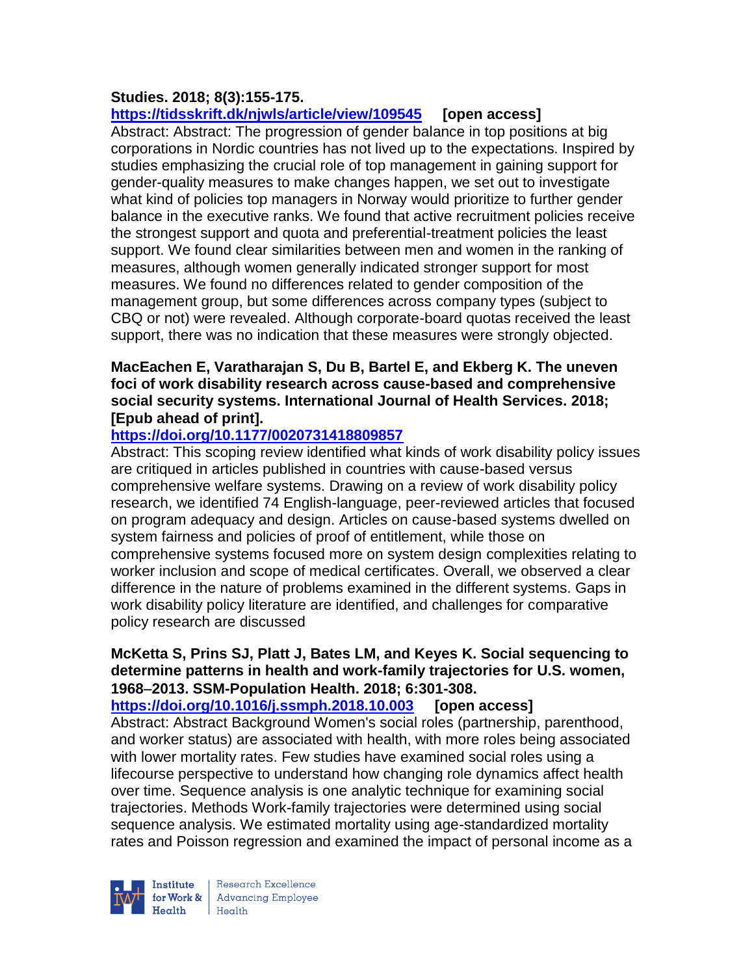# **Studies. 2018; 8(3):155-175.**

**<https://tidsskrift.dk/njwls/article/view/109545> [open access]**

Abstract: Abstract: The progression of gender balance in top positions at big corporations in Nordic countries has not lived up to the expectations. Inspired by studies emphasizing the crucial role of top management in gaining support for gender-quality measures to make changes happen, we set out to investigate what kind of policies top managers in Norway would prioritize to further gender balance in the executive ranks. We found that active recruitment policies receive the strongest support and quota and preferential-treatment policies the least support. We found clear similarities between men and women in the ranking of measures, although women generally indicated stronger support for most measures. We found no differences related to gender composition of the management group, but some differences across company types (subject to CBQ or not) were revealed. Although corporate-board quotas received the least support, there was no indication that these measures were strongly objected.

## **MacEachen E, Varatharajan S, Du B, Bartel E, and Ekberg K. The uneven foci of work disability research across cause-based and comprehensive social security systems. International Journal of Health Services. 2018; [Epub ahead of print].**

# **<https://doi.org/10.1177/0020731418809857>**

Abstract: This scoping review identified what kinds of work disability policy issues are critiqued in articles published in countries with cause-based versus comprehensive welfare systems. Drawing on a review of work disability policy research, we identified 74 English-language, peer-reviewed articles that focused on program adequacy and design. Articles on cause-based systems dwelled on system fairness and policies of proof of entitlement, while those on comprehensive systems focused more on system design complexities relating to worker inclusion and scope of medical certificates. Overall, we observed a clear difference in the nature of problems examined in the different systems. Gaps in work disability policy literature are identified, and challenges for comparative policy research are discussed

## **McKetta S, Prins SJ, Platt J, Bates LM, and Keyes K. Social sequencing to determine patterns in health and work-family trajectories for U.S. women, 1968**−**2013. SSM-Population Health. 2018; 6:301-308.**

# **<https://doi.org/10.1016/j.ssmph.2018.10.003> [open access]**

Abstract: Abstract Background Women's social roles (partnership, parenthood, and worker status) are associated with health, with more roles being associated with lower mortality rates. Few studies have examined social roles using a lifecourse perspective to understand how changing role dynamics affect health over time. Sequence analysis is one analytic technique for examining social trajectories. Methods Work-family trajectories were determined using social sequence analysis. We estimated mortality using age-standardized mortality rates and Poisson regression and examined the impact of personal income as a



Research Excellence for Work & Advancing Employee  $Heath$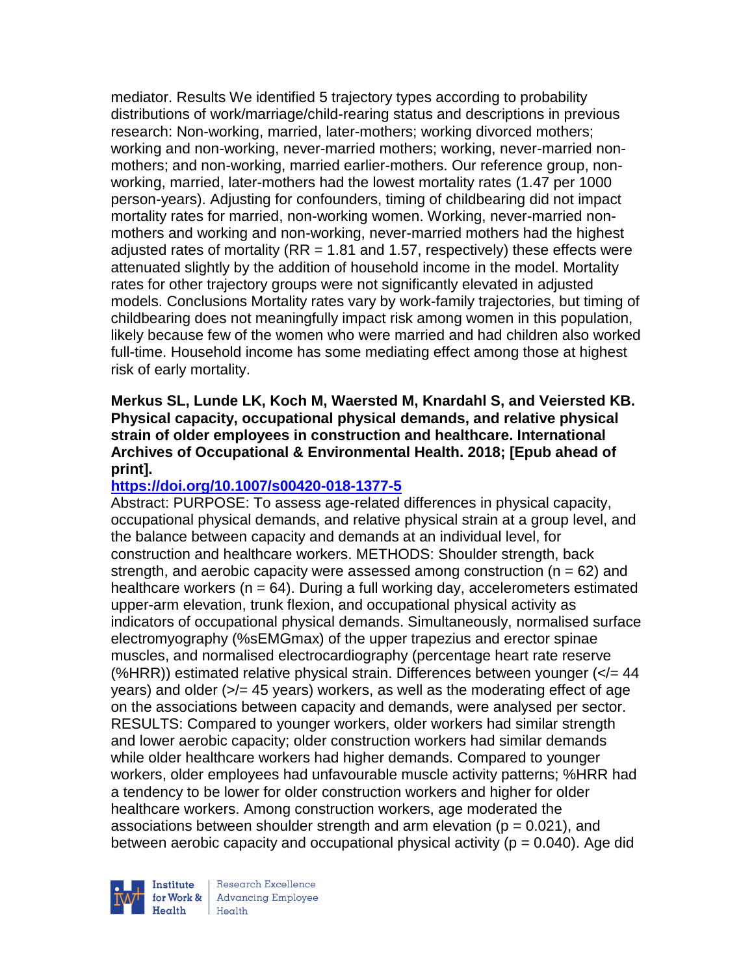mediator. Results We identified 5 trajectory types according to probability distributions of work/marriage/child-rearing status and descriptions in previous research: Non-working, married, later-mothers; working divorced mothers; working and non-working, never-married mothers; working, never-married nonmothers; and non-working, married earlier-mothers. Our reference group, nonworking, married, later-mothers had the lowest mortality rates (1.47 per 1000 person-years). Adjusting for confounders, timing of childbearing did not impact mortality rates for married, non-working women. Working, never-married nonmothers and working and non-working, never-married mothers had the highest adjusted rates of mortality ( $RR = 1.81$  and 1.57, respectively) these effects were attenuated slightly by the addition of household income in the model. Mortality rates for other trajectory groups were not significantly elevated in adjusted models. Conclusions Mortality rates vary by work-family trajectories, but timing of childbearing does not meaningfully impact risk among women in this population, likely because few of the women who were married and had children also worked full-time. Household income has some mediating effect among those at highest risk of early mortality.

### **Merkus SL, Lunde LK, Koch M, Waersted M, Knardahl S, and Veiersted KB. Physical capacity, occupational physical demands, and relative physical strain of older employees in construction and healthcare. International Archives of Occupational & Environmental Health. 2018; [Epub ahead of print].**

### **<https://doi.org/10.1007/s00420-018-1377-5>**

Abstract: PURPOSE: To assess age-related differences in physical capacity, occupational physical demands, and relative physical strain at a group level, and the balance between capacity and demands at an individual level, for construction and healthcare workers. METHODS: Shoulder strength, back strength, and aerobic capacity were assessed among construction ( $n = 62$ ) and healthcare workers ( $n = 64$ ). During a full working day, accelerometers estimated upper-arm elevation, trunk flexion, and occupational physical activity as indicators of occupational physical demands. Simultaneously, normalised surface electromyography (%sEMGmax) of the upper trapezius and erector spinae muscles, and normalised electrocardiography (percentage heart rate reserve (%HRR)) estimated relative physical strain. Differences between younger  $\left\langle \epsilon/44\right\rangle$ years) and older  $\left(\frac{5}{6}\right)$  45 years) workers, as well as the moderating effect of age on the associations between capacity and demands, were analysed per sector. RESULTS: Compared to younger workers, older workers had similar strength and lower aerobic capacity; older construction workers had similar demands while older healthcare workers had higher demands. Compared to younger workers, older employees had unfavourable muscle activity patterns; %HRR had a tendency to be lower for older construction workers and higher for older healthcare workers. Among construction workers, age moderated the associations between shoulder strength and arm elevation ( $p = 0.021$ ), and between aerobic capacity and occupational physical activity ( $p = 0.040$ ). Age did

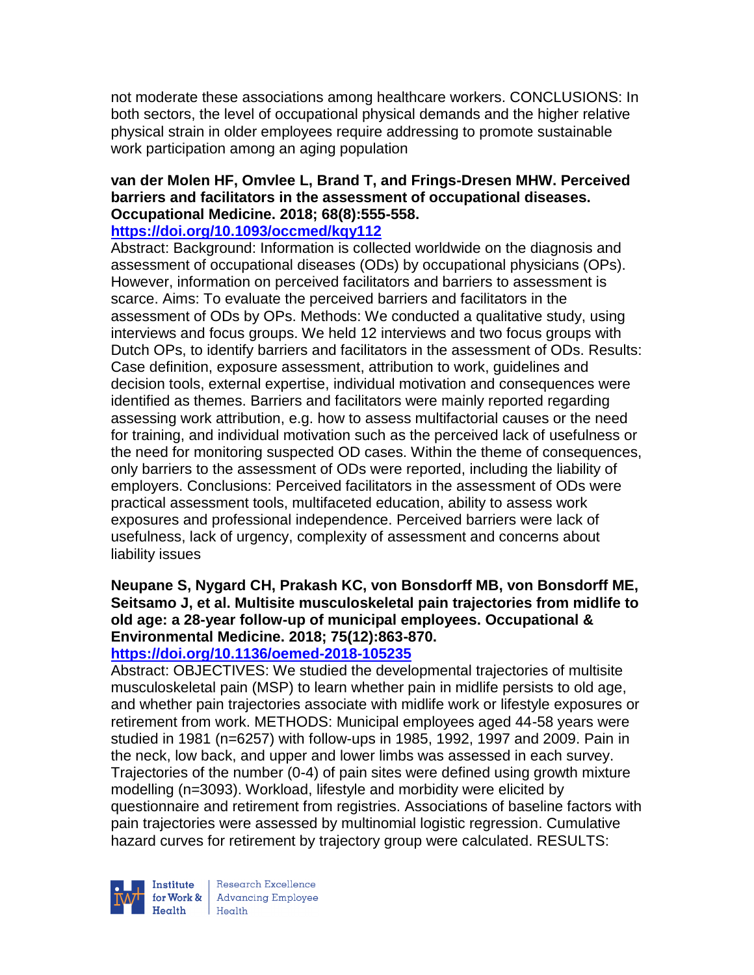not moderate these associations among healthcare workers. CONCLUSIONS: In both sectors, the level of occupational physical demands and the higher relative physical strain in older employees require addressing to promote sustainable work participation among an aging population

#### **van der Molen HF, Omvlee L, Brand T, and Frings-Dresen MHW. Perceived barriers and facilitators in the assessment of occupational diseases. Occupational Medicine. 2018; 68(8):555-558.**

## **<https://doi.org/10.1093/occmed/kqy112>**

Abstract: Background: Information is collected worldwide on the diagnosis and assessment of occupational diseases (ODs) by occupational physicians (OPs). However, information on perceived facilitators and barriers to assessment is scarce. Aims: To evaluate the perceived barriers and facilitators in the assessment of ODs by OPs. Methods: We conducted a qualitative study, using interviews and focus groups. We held 12 interviews and two focus groups with Dutch OPs, to identify barriers and facilitators in the assessment of ODs. Results: Case definition, exposure assessment, attribution to work, guidelines and decision tools, external expertise, individual motivation and consequences were identified as themes. Barriers and facilitators were mainly reported regarding assessing work attribution, e.g. how to assess multifactorial causes or the need for training, and individual motivation such as the perceived lack of usefulness or the need for monitoring suspected OD cases. Within the theme of consequences, only barriers to the assessment of ODs were reported, including the liability of employers. Conclusions: Perceived facilitators in the assessment of ODs were practical assessment tools, multifaceted education, ability to assess work exposures and professional independence. Perceived barriers were lack of usefulness, lack of urgency, complexity of assessment and concerns about liability issues

## **Neupane S, Nygard CH, Prakash KC, von Bonsdorff MB, von Bonsdorff ME, Seitsamo J, et al. Multisite musculoskeletal pain trajectories from midlife to old age: a 28-year follow-up of municipal employees. Occupational & Environmental Medicine. 2018; 75(12):863-870.**

# **<https://doi.org/10.1136/oemed-2018-105235>**

Abstract: OBJECTIVES: We studied the developmental trajectories of multisite musculoskeletal pain (MSP) to learn whether pain in midlife persists to old age, and whether pain trajectories associate with midlife work or lifestyle exposures or retirement from work. METHODS: Municipal employees aged 44-58 years were studied in 1981 (n=6257) with follow-ups in 1985, 1992, 1997 and 2009. Pain in the neck, low back, and upper and lower limbs was assessed in each survey. Trajectories of the number (0-4) of pain sites were defined using growth mixture modelling (n=3093). Workload, lifestyle and morbidity were elicited by questionnaire and retirement from registries. Associations of baseline factors with pain trajectories were assessed by multinomial logistic regression. Cumulative hazard curves for retirement by trajectory group were calculated. RESULTS:



Research Excellence for Work & Advancing Employee  $Heath$